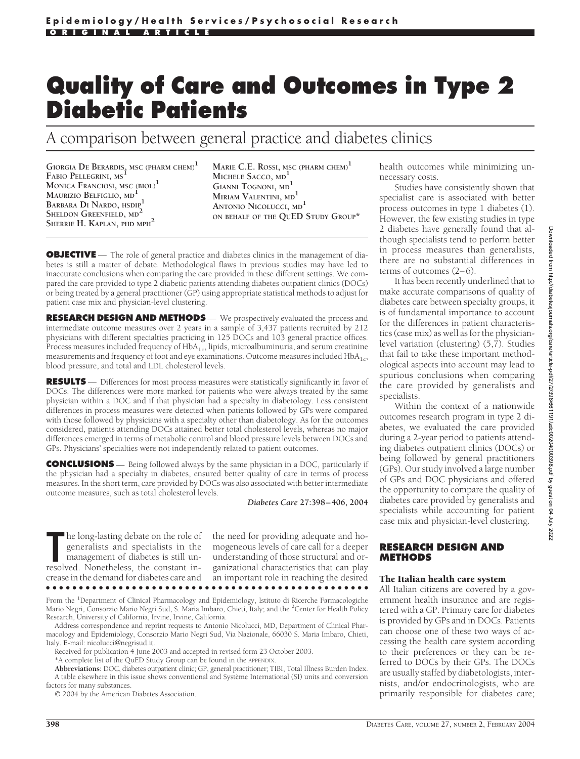# **Quality of Care and Outcomes in Type 2 Diabetic Patients**

## A comparison between general practice and diabetes clinics

**GIORGIA DE BERARDIS, MSC (PHARM CHEM)<sup>1</sup> FABIO PELLEGRINI, MS<sup>1</sup> MONICA FRANCIOSI, MSC (BIOL)<sup>1</sup> MAURIZIO BELFIGLIO, MD<sup>1</sup> BARBARA DI NARDO, HSDIP<sup>1</sup> SHELDON GREENFIELD, MD<sup>2</sup> SHERRIE H. KAPLAN, PHD MPH2**

**MARIE C.E. ROSSI, MSC (PHARM CHEM)<sup>1</sup> MICHELE SACCO, MD<sup>1</sup> GIANNI TOGNONI, MD<sup>1</sup> MIRIAM VALENTINI, MD<sup>1</sup> ANTONIO NICOLUCCI, MD<sup>1</sup> ON BEHALF OF THE QUED STUDY GROUP\***

**OBJECTIVE** — The role of general practice and diabetes clinics in the management of diabetes is still a matter of debate. Methodological flaws in previous studies may have led to inaccurate conclusions when comparing the care provided in these different settings. We compared the care provided to type 2 diabetic patients attending diabetes outpatient clinics (DOCs) or being treated by a general practitioner (GP) using appropriate statistical methods to adjust for patient case mix and physician-level clustering.

**RESEARCH DESIGN AND METHODS** — We prospectively evaluated the process and intermediate outcome measures over 2 years in a sample of 3,437 patients recruited by 212 physicians with different specialties practicing in 125 DOCs and 103 general practice offices. Process measures included frequency of HbA<sub>1c</sub>, lipids, microalbuminuria, and serum creatinine measurements and frequency of foot and eye examinations. Outcome measures included  $HbA<sub>1c</sub>$ , blood pressure, and total and LDL cholesterol levels.

**RESULTS** — Differences for most process measures were statistically significantly in favor of DOCs. The differences were more marked for patients who were always treated by the same physician within a DOC and if that physician had a specialty in diabetology. Less consistent differences in process measures were detected when patients followed by GPs were compared with those followed by physicians with a specialty other than diabetology. As for the outcomes considered, patients attending DOCs attained better total cholesterol levels, whereas no major differences emerged in terms of metabolic control and blood pressure levels between DOCs and GPs. Physicians' specialties were not independently related to patient outcomes.

**CONCLUSIONS** — Being followed always by the same physician in a DOC, particularly if the physician had a specialty in diabetes, ensured better quality of care in terms of process measures. In the short term, care provided by DOCs was also associated with better intermediate outcome measures, such as total cholesterol levels.

*Diabetes Care* **27:398–406, 2004**

The long-lasting debate on the role of generalists and specialists in the management of diabetes is still unresolved. Nonetheless, the constant inhe long-lasting debate on the role of generalists and specialists in the management of diabetes is still uncrease in the demand for diabetes care and ●●●●●●●●●●●●●●●●●●●●●●●●●●●●●●●●●●●●●●●●●●●●●●●●●

the need for providing adequate and homogeneous levels of care call for a deeper understanding of those structural and organizational characteristics that can play an important role in reaching the desired

From the <sup>1</sup>Department of Clinical Pharmacology and Epidemiology, Istituto di Ricerche Farmacologiche Mario Negri, Consorzio Mario Negri Sud, S. Maria Imbaro, Chieti, Italy; and the <sup>2</sup>Center for Health Policy Research, University of California, Irvine, Irvine, California.

Address correspondence and reprint requests to Antonio Nicolucci, MD, Department of Clinical Pharmacology and Epidemiology, Consorzio Mario Negri Sud, Via Nazionale, 66030 S. Maria Imbaro, Chieti, Italy. E-mail: nicolucci@negrisud.it.

Received for publication 4 June 2003 and accepted in revised form 23 October 2003.

\*A complete list of the QuED Study Group can be found in the APPENDIX.

**Abbreviations:** DOC, diabetes outpatient clinic; GP, general practitioner; TIBI, Total Illness Burden Index. A table elsewhere in this issue shows conventional and Système International (SI) units and conversion factors for many substances.

© 2004 by the American Diabetes Association.

health outcomes while minimizing unnecessary costs.

Studies have consistently shown that specialist care is associated with better process outcomes in type 1 diabetes (1). However, the few existing studies in type 2 diabetes have generally found that although specialists tend to perform better in process measures than generalists, there are no substantial differences in terms of outcomes (2–6).

It has been recently underlined that to make accurate comparisons of quality of diabetes care between specialty groups, it is of fundamental importance to account for the differences in patient characteristics (case mix) as well as for the physicianlevel variation (clustering) (5,7). Studies that fail to take these important methodological aspects into account may lead to spurious conclusions when comparing the care provided by generalists and specialists.

Within the context of a nationwide outcomes research program in type 2 diabetes, we evaluated the care provided during a 2-year period to patients attending diabetes outpatient clinics (DOCs) or being followed by general practitioners (GPs). Our study involved a large number of GPs and DOC physicians and offered the opportunity to compare the quality of diabetes care provided by generalists and specialists while accounting for patient case mix and physician-level clustering.

### **RESEARCH DESIGN AND METHODS**

## The Italian health care system

All Italian citizens are covered by a government health insurance and are registered with a GP. Primary care for diabetes is provided by GPs and in DOCs. Patients can choose one of these two ways of accessing the health care system according to their preferences or they can be referred to DOCs by their GPs. The DOCs are usually staffed by diabetologists, internists, and/or endocrinologists, who are primarily responsible for diabetes care;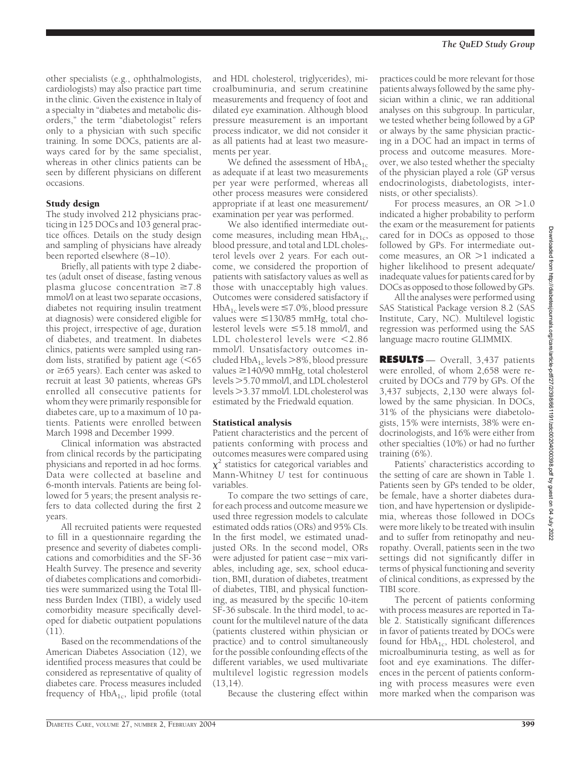other specialists (e.g., ophthalmologists, cardiologists) may also practice part time in the clinic. Given the existence in Italy of a specialty in "diabetes and metabolic disorders," the term "diabetologist" refers only to a physician with such specific training. In some DOCs, patients are always cared for by the same specialist, whereas in other clinics patients can be seen by different physicians on different occasions.

## Study design

The study involved 212 physicians practicing in 125 DOCs and 103 general practice offices. Details on the study design and sampling of physicians have already been reported elsewhere (8–10).

Briefly, all patients with type 2 diabetes (adult onset of disease, fasting venous plasma glucose concentration  $\geq 7.8$ mmol/l on at least two separate occasions, diabetes not requiring insulin treatment at diagnosis) were considered eligible for this project, irrespective of age, duration of diabetes, and treatment. In diabetes clinics, patients were sampled using random lists, stratified by patient age  $(<$ 65 or  $\geq$ 65 years). Each center was asked to recruit at least 30 patients, whereas GPs enrolled all consecutive patients for whom they were primarily responsible for diabetes care, up to a maximum of 10 patients. Patients were enrolled between March 1998 and December 1999.

Clinical information was abstracted from clinical records by the participating physicians and reported in ad hoc forms. Data were collected at baseline and 6-month intervals. Patients are being followed for 5 years; the present analysis refers to data collected during the first 2 years.

All recruited patients were requested to fill in a questionnaire regarding the presence and severity of diabetes complications and comorbidities and the SF-36 Health Survey. The presence and severity of diabetes complications and comorbidities were summarized using the Total Illness Burden Index (TIBI), a widely used comorbidity measure specifically developed for diabetic outpatient populations  $(11)$ 

Based on the recommendations of the American Diabetes Association (12), we identified process measures that could be considered as representative of quality of diabetes care. Process measures included frequency of  $HbA_{1c}$ , lipid profile (total

and HDL cholesterol, triglycerides), microalbuminuria, and serum creatinine measurements and frequency of foot and dilated eye examination. Although blood pressure measurement is an important process indicator, we did not consider it as all patients had at least two measurements per year.

We defined the assessment of  $HbA_{1c}$ as adequate if at least two measurements per year were performed, whereas all other process measures were considered appropriate if at least one measurement/ examination per year was performed.

We also identified intermediate outcome measures, including mean  $HbA_{1c}$ , blood pressure, and total and LDL cholesterol levels over 2 years. For each outcome, we considered the proportion of patients with satisfactory values as well as those with unacceptably high values. Outcomes were considered satisfactory if  $HbA_{1c}$  levels were  $\leq 7.0\%$ , blood pressure values were ≤130/85 mmHg, total cholesterol levels were  $\leq 5.18$  mmol/l, and LDL cholesterol levels were  $\leq$ 2.86 mmol/l. Unsatisfactory outcomes included HbA<sub>1c</sub> levels >8%, blood pressure values  $\geq$  140/90 mmHg, total cholesterol levels -5.70 mmol/l, and LDL cholesterol levels -3.37 mmol/l. LDL cholesterol was estimated by the Friedwald equation.

## Statistical analysis

Patient characteristics and the percent of patients conforming with process and outcomes measures were compared using  $\chi^2$  statistics for categorical variables and Mann-Whitney *U* test for continuous variables.

To compare the two settings of care, for each process and outcome measure we used three regression models to calculate estimated odds ratios (ORs) and 95% CIs. In the first model, we estimated unadjusted ORs. In the second model, ORs were adjusted for patient case $-$ mix variables, including age, sex, school education, BMI, duration of diabetes, treatment of diabetes, TIBI, and physical functioning, as measured by the specific 10-item SF-36 subscale. In the third model, to account for the multilevel nature of the data (patients clustered within physician or practice) and to control simultaneously for the possible confounding effects of the different variables, we used multivariate multilevel logistic regression models (13,14).

Because the clustering effect within

practices could be more relevant for those patients always followed by the same physician within a clinic, we ran additional analyses on this subgroup. In particular, we tested whether being followed by a GP or always by the same physician practicing in a DOC had an impact in terms of process and outcome measures. Moreover, we also tested whether the specialty of the physician played a role (GP versus endocrinologists, diabetologists, internists, or other specialists).

For process measures, an  $OR > 1.0$ indicated a higher probability to perform the exam or the measurement for patients cared for in DOCs as opposed to those followed by GPs. For intermediate outcome measures, an OR >1 indicated a higher likelihood to present adequate/ inadequate values for patients cared for by DOCs as opposed to those followed by GPs.

All the analyses were performed using SAS Statistical Package version 8.2 (SAS Institute, Cary, NC). Multilevel logistic regression was performed using the SAS language macro routine GLIMMIX.

**RESULTS** — Overall, 3,437 patients were enrolled, of whom 2,658 were recruited by DOCs and 779 by GPs. Of the 3,437 subjects, 2,130 were always followed by the same physician. In DOCs, 31% of the physicians were diabetologists, 15% were internists, 38% were endocrinologists, and 16% were either from other specialties (10%) or had no further training (6%).

Patients' characteristics according to the setting of care are shown in Table 1. Patients seen by GPs tended to be older, be female, have a shorter diabetes duration, and have hypertension or dyslipidemia, whereas those followed in DOCs were more likely to be treated with insulin and to suffer from retinopathy and neuropathy. Overall, patients seen in the two settings did not significantly differ in terms of physical functioning and severity of clinical conditions, as expressed by the TIBI score.

The percent of patients conforming with process measures are reported in Table 2. Statistically significant differences in favor of patients treated by DOCs were found for  $HbA_{1c}$ , HDL cholesterol, and microalbuminuria testing, as well as for foot and eye examinations. The differences in the percent of patients conforming with process measures were even more marked when the comparison was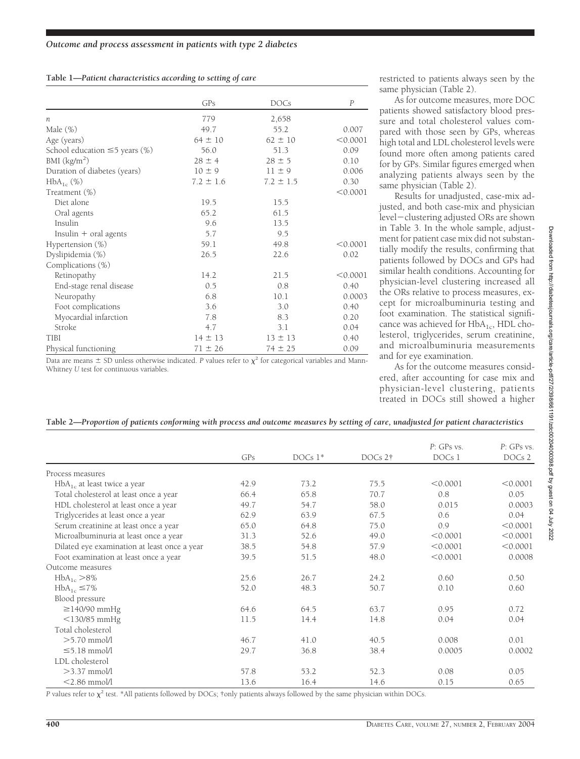#### **Table 1—***Patient characteristics according to setting of care*

|                                     | GPs           | <b>DOCs</b>   | $\boldsymbol{P}$ |
|-------------------------------------|---------------|---------------|------------------|
| $\boldsymbol{n}$                    | 779           | 2,658         |                  |
| Male $(\%)$                         | 49.7          | 55.2          | 0.007            |
| Age (years)                         | $64 \pm 10$   | $62 \pm 10$   | < 0.0001         |
| School education $\leq$ 5 years (%) | 56.0          | 51.3          | 0.09             |
| BMI $\frac{\text{kg}}{\text{m}^2}$  | $28 \pm 4$    | $28 \pm 5$    | 0.10             |
| Duration of diabetes (years)        | $10 \pm 9$    | $11 \pm 9$    | 0.006            |
| $HbA_{1c}$ (%)                      | $7.2 \pm 1.6$ | $7.2 \pm 1.5$ | 0.30             |
| Treatment (%)                       |               |               | < 0.0001         |
| Diet alone                          | 19.5          | 15.5          |                  |
| Oral agents                         | 65.2          | 61.5          |                  |
| Insulin                             | 9.6           | 13.5          |                  |
| $Insulin + oral agents$             | 5.7           | 9.5           |                  |
| Hypertension (%)                    | 59.1          | 49.8          | < 0.0001         |
| Dyslipidemia (%)                    | 26.5          | 22.6          | 0.02             |
| Complications (%)                   |               |               |                  |
| Retinopathy                         | 14.2          | 21.5          | < 0.0001         |
| End-stage renal disease             | 0.5           | 0.8           | 0.40             |
| Neuropathy                          | 6.8           | 10.1          | 0.0003           |
| Foot complications                  | 3.6           | 3.0           | 0.40             |
| Myocardial infarction               | 7.8           | 8.3           | 0.20             |
| Stroke                              | 4.7           | 3.1           | 0.04             |
| <b>TIBI</b>                         | $14 \pm 13$   | $13 \pm 13$   | 0.40             |
| Physical functioning                | $71 \pm 26$   | $74 \pm 25$   | 0.09             |

Data are means  $\pm$  SD unless otherwise indicated. *P* values refer to  $\chi^2$  for categorical variables and Mann-Whitney *U* test for continuous variables.

restricted to patients always seen by the same physician (Table 2).

As for outcome measures, more DOC patients showed satisfactory blood pressure and total cholesterol values compared with those seen by GPs, whereas high total and LDL cholesterol levels were found more often among patients cared for by GPs. Similar figures emerged when analyzing patients always seen by the same physician (Table 2).

Results for unadjusted, case-mix adjusted, and both case-mix and physician level-clustering adjusted ORs are shown in Table 3. In the whole sample, adjustment for patient case mix did not substantially modify the results, confirming that patients followed by DOCs and GPs had similar health conditions. Accounting for physician-level clustering increased all the ORs relative to process measures, except for microalbuminuria testing and foot examination. The statistical significance was achieved for  $HbA_{1c}$ , HDL cholesterol, triglycerides, serum creatinine, and microalbuminuria measurements and for eye examination.

As for the outcome measures considered, after accounting for case mix and physician-level clustering, patients treated in DOCs still showed a higher

## **Table 2—***Proportion of patients conforming with process and outcome measures by setting of care, unadjusted for patient characteristics*

|                                              |      |           |                     | $P$ : GPs vs. | P: GPs vs. |
|----------------------------------------------|------|-----------|---------------------|---------------|------------|
|                                              | GPs  | DOCs $1*$ | DOCs 2 <sup>†</sup> | DOCs 1        | DOCs 2     |
| Process measures                             |      |           |                     |               |            |
| $HbA_{1c}$ at least twice a year             | 42.9 | 73.2      | 75.5                | < 0.0001      | < 0.0001   |
| Total cholesterol at least once a year       | 66.4 | 65.8      | 70.7                | 0.8           | 0.05       |
| HDL cholesterol at least once a year         | 49.7 | 54.7      | 58.0                | 0.015         | 0.0003     |
| Triglycerides at least once a year           | 62.9 | 63.9      | 67.5                | 0.6           | 0.04       |
| Serum creatinine at least once a year        | 65.0 | 64.8      | 75.0                | 0.9           | < 0.0001   |
| Microalbuminuria at least once a year        | 31.3 | 52.6      | 49.0                | < 0.0001      | < 0.0001   |
| Dilated eye examination at least once a year | 38.5 | 54.8      | 57.9                | < 0.0001      | < 0.0001   |
| Foot examination at least once a year        | 39.5 | 51.5      | 48.0                | < 0.0001      | 0.0008     |
| Outcome measures                             |      |           |                     |               |            |
| $HbA_{1c} > 8\%$                             | 25.6 | 26.7      | 24.2                | 0.60          | 0.50       |
| $HbA_{1c} \leq 7\%$                          | 52.0 | 48.3      | 50.7                | 0.10          | 0.60       |
| Blood pressure                               |      |           |                     |               |            |
| $\geq$ 140/90 mmHg                           | 64.6 | 64.5      | 63.7                | 0.95          | 0.72       |
| $<$ 130/85 mmHg                              | 11.5 | 14.4      | 14.8                | 0.04          | 0.04       |
| Total cholesterol                            |      |           |                     |               |            |
| $>5.70$ mmol/l                               | 46.7 | 41.0      | 40.5                | 0.008         | 0.01       |
| $\leq 5.18$ mmol/l                           | 29.7 | 36.8      | 38.4                | 0.0005        | 0.0002     |
| LDL cholesterol                              |      |           |                     |               |            |
| $>3.37$ mmol/l                               | 57.8 | 53.2      | 52.3                | 0.08          | 0.05       |
| $<$ 2.86 mmol/l                              | 13.6 | 16.4      | 14.6                | 0.15          | 0.65       |

*P* values refer to  $\chi^2$  test. \*All patients followed by DOCs; †only patients always followed by the same physician within DOCs.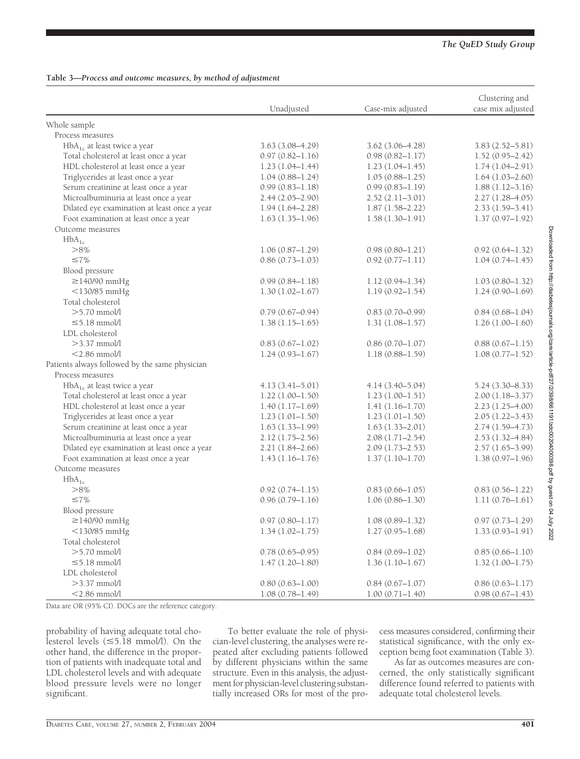## *The QuED Study Group*

## **Table 3—***Process and outcome measures, by method of adjustment*

|                                                | Unadjusted          | Case-mix adjusted   | Clustering and<br>case mix adjusted |
|------------------------------------------------|---------------------|---------------------|-------------------------------------|
| Whole sample                                   |                     |                     |                                     |
| Process measures                               |                     |                     |                                     |
| $HbA_{1c}$ at least twice a year               | $3.63(3.08 - 4.29)$ | $3.62(3.06 - 4.28)$ | $3.83(2.52 - 5.81)$                 |
| Total cholesterol at least once a year         | $0.97(0.82 - 1.16)$ | $0.98(0.82 - 1.17)$ | $1.52(0.95 - 2.42)$                 |
| HDL cholesterol at least once a year           | $1.23(1.04 - 1.44)$ | $1.23(1.04-1.45)$   | $1.74(1.04 - 2.91)$                 |
| Triglycerides at least once a year             | $1.04(0.88 - 1.24)$ | $1.05(0.88 - 1.25)$ | $1.64(1.03 - 2.60)$                 |
| Serum creatinine at least once a year          | $0.99(0.83 - 1.18)$ | $0.99(0.83 - 1.19)$ | $1.88(1.12 - 3.16)$                 |
| Microalbuminuria at least once a year          | $2.44(2.05 - 2.90)$ | $2.52(2.11-3.01)$   | $2.27(1.28 - 4.05)$                 |
| Dilated eye examination at least once a year   | $1.94(1.64 - 2.28)$ | $1.87(1.58 - 2.22)$ | $2.33(1.59 - 3.41)$                 |
| Foot examination at least once a year          | $1.63(1.35-1.96)$   | $1.58(1.30 - 1.91)$ | $1.37(0.97 - 1.92)$                 |
| Outcome measures                               |                     |                     |                                     |
| $HbA_{1c}$                                     |                     |                     |                                     |
| $>8\%$                                         | $1.06(0.87 - 1.29)$ | $0.98(0.80 - 1.21)$ | $0.92(0.64 - 1.32)$                 |
| $\leq$ 7%                                      | $0.86(0.73 - 1.03)$ | $0.92(0.77 - 1.11)$ | $1.04(0.74 - 1.45)$                 |
| Blood pressure                                 |                     |                     |                                     |
| $\geq$ 140/90 mmHg                             | $0.99(0.84 - 1.18)$ | $1.12(0.94 - 1.34)$ | $1.03(0.80 - 1.32)$                 |
| $<$ 130/85 mmHg                                | $1.30(1.02 - 1.67)$ | $1.19(0.92 - 1.54)$ | $1.24(0.90 - 1.69)$                 |
| Total cholesterol                              |                     |                     |                                     |
| $>5.70$ mmol/l                                 | $0.79(0.67 - 0.94)$ | $0.83(0.70 - 0.99)$ | $0.84(0.68 - 1.04)$                 |
| $\leq 5.18$ mmol/l                             | $1.38(1.15 - 1.65)$ | $1.31(1.08 - 1.57)$ | $1.26(1.00-1.60)$                   |
| LDL cholesterol                                |                     |                     |                                     |
| $>3.37$ mmol/l                                 | $0.83(0.67 - 1.02)$ | $0.86(0.70 - 1.07)$ | $0.88(0.67 - 1.15)$                 |
| $<$ 2.86 mmol/l                                | $1.24(0.93 - 1.67)$ | $1.18(0.88 - 1.59)$ | $1.08(0.77 - 1.52)$                 |
| Patients always followed by the same physician |                     |                     |                                     |
| Process measures                               |                     |                     |                                     |
| $HbA_{1c}$ at least twice a year               | $4.13(3.41 - 5.01)$ | $4.14(3.40 - 5.04)$ | $5.24(3.30 - 8.33)$                 |
| Total cholesterol at least once a year         | $1.22(1.00-1.50)$   | $1.23(1.00-1.51)$   | $2.00(1.18 - 3.37)$                 |
| HDL cholesterol at least once a year           | $1.40(1.17-1.69)$   | $1.41(1.16-1.70)$   | $2.23(1.25 - 4.00)$                 |
| Triglycerides at least once a year             | $1.23(1.01-1.50)$   | $1.23(1.01-1.50)$   | $2.05(1.22 - 3.43)$                 |
| Serum creatinine at least once a year          | $1.63(1.33 - 1.99)$ | $1.63(1.33 - 2.01)$ | $2.74(1.59 - 4.73)$                 |
| Microalbuminuria at least once a year          | $2.12(1.75 - 2.56)$ | $2.08(1.71 - 2.54)$ | $2.53(1.32 - 4.84)$                 |
| Dilated eye examination at least once a year   | $2.21(1.84 - 2.66)$ | $2.09(1.73 - 2.53)$ | $2.57(1.65 - 3.99)$                 |
| Foot examination at least once a year          | $1.43(1.16 - 1.76)$ | $1.37(1.10 - 1.70)$ | $1.38(0.97 - 1.96)$                 |
| Outcome measures                               |                     |                     |                                     |
| $HbA_{1c}$                                     |                     |                     |                                     |
| $>8\%$                                         | $0.92(0.74 - 1.15)$ | $0.83(0.66 - 1.05)$ | $0.83(0.56 - 1.22)$                 |
| $\leq$ 7%                                      | $0.96(0.79 - 1.16)$ | $1.06(0.86 - 1.30)$ | $1.11(0.76 - 1.61)$                 |
| Blood pressure                                 |                     |                     |                                     |
| $\geq$ 140/90 mmHg                             | $0.97(0.80 - 1.17)$ | $1.08(0.89 - 1.32)$ | $0.97(0.73 - 1.29)$                 |
| $<$ 130/85 mmHg                                | $1.34(1.02 - 1.75)$ | $1.27(0.95 - 1.68)$ | $1.33(0.93 - 1.91)$                 |
| Total cholesterol                              |                     |                     |                                     |
| $>5.70$ mmol/l                                 | $0.78(0.65 - 0.95)$ | $0.84(0.69 - 1.02)$ | $0.85(0.66 - 1.10)$                 |
| $\leq 5.18$ mmol/l                             | $1.47(1.20 - 1.80)$ | $1.36(1.10-1.67)$   | $1.32(1.00 - 1.75)$                 |
| LDL cholesterol                                |                     |                     |                                     |
| $>3.37$ mmol/l                                 | $0.80(0.63 - 1.00)$ | $0.84(0.67 - 1.07)$ | $0.86(0.63 - 1.17)$                 |
| $<$ 2.86 mmol/l                                | $1.08(0.78 - 1.49)$ | $1.00(0.71 - 1.40)$ | $0.98(0.67 - 1.43)$                 |

Data are OR (95% CI). DOCs are the reference category.

probability of having adequate total cholesterol levels (≤5.18 mmol/l). On the other hand, the difference in the proportion of patients with inadequate total and LDL cholesterol levels and with adequate blood pressure levels were no longer significant.

To better evaluate the role of physician-level clustering, the analyses were repeated after excluding patients followed by different physicians within the same structure. Even in this analysis, the adjustment for physician-level clustering substantially increased ORs for most of the process measures considered, confirming their statistical significance, with the only exception being foot examination (Table 3).

As far as outcomes measures are concerned, the only statistically significant difference found referred to patients with adequate total cholesterol levels.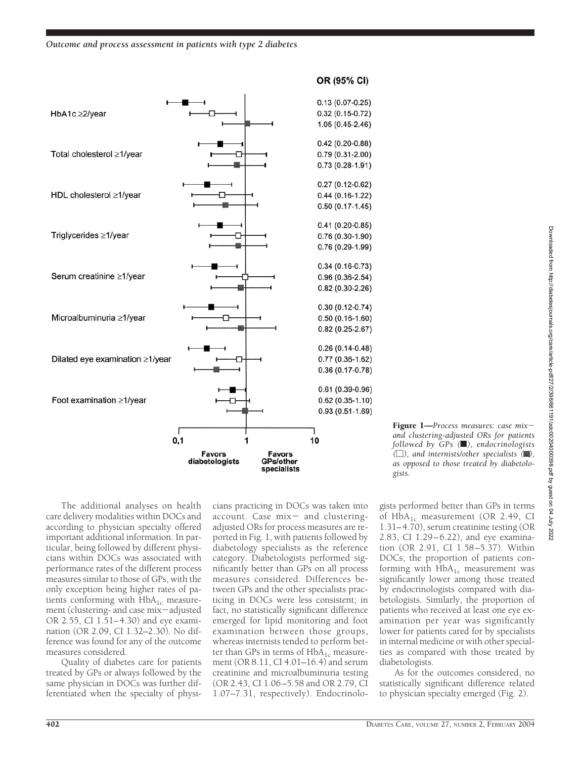

The additional analyses on health care delivery modalities within DOCs and according to physician specialty offered important additional information. In particular, being followed by different physicians within DOCs was associated with performance rates of the different process measures similar to those of GPs, with the only exception being higher rates of patients conforming with  $HbA_{1c}$  measurement (clustering- and case  $mix–adjusted$ OR 2.55, CI 1.51–4.30) and eye examination (OR 2.09, CI 1.32–2.30). No difference was found for any of the outcome measures considered.

Quality of diabetes care for patients treated by GPs or always followed by the same physician in DOCs was further differentiated when the specialty of physi-

cians practicing in DOCs was taken into account. Case mix- and clusteringadjusted ORs for process measures are reported in Fig. 1, with patients followed by diabetology specialists as the reference category. Diabetologists performed significantly better than GPs on all process measures considered. Differences between GPs and the other specialists practicing in DOCs were less consistent; in fact, no statistically significant difference emerged for lipid monitoring and foot examination between those groups, whereas internists tended to perform better than GPs in terms of  $HbA_{1c}$  measurement (OR 8.11, CI 4.01–16.4) and serum creatinine and microalbuminuria testing (OR 2.43, CI 1.06–5.58 and OR 2.79, CI 1.07–7.31, respectively). Endocrinolo-

Figure 1—*Process measures: case mix and clustering-adjusted ORs for patients followed by GPs (*f*), endocrinologists (*-*), and internists/other specialists ( ), as opposed to those treated by diabetologists.*

gists performed better than GPs in terms of  $HbA_{1c}$  measurement (OR 2.49, CI 1.31–4.70), serum creatinine testing (OR 2.83, CI 1.29–6.22), and eye examination (OR 2.91, CI 1.58–5.37). Within DOCs, the proportion of patients conforming with  $HbA_{1c}$  measurement was significantly lower among those treated by endocrinologists compared with diabetologists. Similarly, the proportion of patients who received at least one eye examination per year was significantly lower for patients cared for by specialists in internal medicine or with other specialties as compared with those treated by diabetologists.

As for the outcomes considered, no statistically significant difference related to physician specialty emerged (Fig. 2).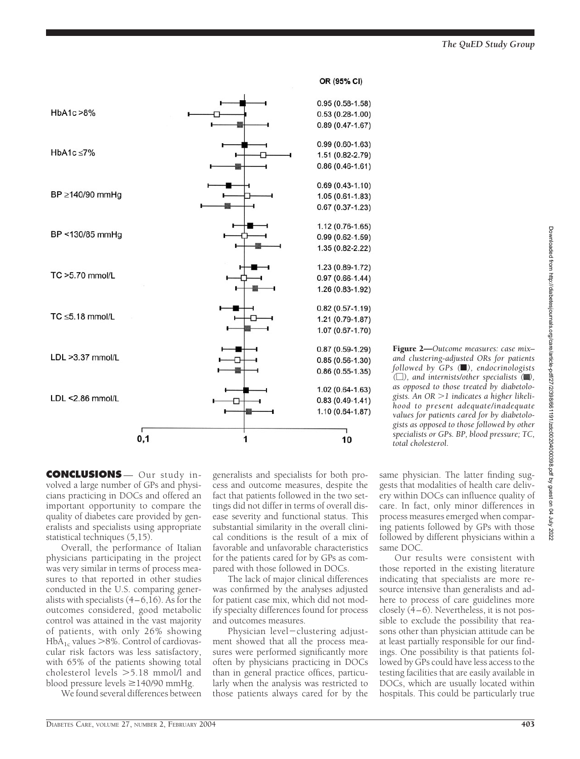

OR (95% CI)

Downloaded from http://diabetesjournals.org/care/article-pdf/27/2/398/661191/zdc00204000398.pdf by guest on 04 July 2022 Downloaded from http://diabetesjournals.org/care/article-pdf/27/2/398/661191/zdc00204000398.pdf by guest on 04 July 2022*and clustering-adjusted ORs for patients followed by GPs (*f*), endocrinologists hood to present adequate/inadequate gists as opposed to those followed by other specialists or GPs. BP, blood pressure; TC,*

**CONCLUSIONS** — Our study involved a large number of GPs and physicians practicing in DOCs and offered an important opportunity to compare the quality of diabetes care provided by generalists and specialists using appropriate statistical techniques (5,15).

Overall, the performance of Italian physicians participating in the project was very similar in terms of process measures to that reported in other studies conducted in the U.S. comparing generalists with specialists  $(4-6,16)$ . As for the outcomes considered, good metabolic control was attained in the vast majority of patients, with only 26% showing  $HbA_{1c}$  values  $>$ 8%. Control of cardiovascular risk factors was less satisfactory, with 65% of the patients showing total cholesterol levels -5.18 mmol/l and blood pressure levels  $\geq$  140/90 mmHg.

We found several differences between

generalists and specialists for both process and outcome measures, despite the fact that patients followed in the two settings did not differ in terms of overall disease severity and functional status. This substantial similarity in the overall clinical conditions is the result of a mix of favorable and unfavorable characteristics for the patients cared for by GPs as compared with those followed in DOCs.

The lack of major clinical differences was confirmed by the analyses adjusted for patient case mix, which did not modify specialty differences found for process and outcomes measures.

Physician level-clustering adjustment showed that all the process measures were performed significantly more often by physicians practicing in DOCs than in general practice offices, particularly when the analysis was restricted to those patients always cared for by the

same physician. The latter finding suggests that modalities of health care delivery within DOCs can influence quality of care. In fact, only minor differences in process measures emerged when comparing patients followed by GPs with those followed by different physicians within a same DOC.

Figure 2—*Outcome measures: case mix–*

*(*-*), and internists/other specialists ( ), as opposed to those treated by diabetologists. An OR* -*1 indicates a higher likeli-*

*values for patients cared for by diabetolo-*

*total cholesterol.*

Our results were consistent with those reported in the existing literature indicating that specialists are more resource intensive than generalists and adhere to process of care guidelines more closely (4–6). Nevertheless, it is not possible to exclude the possibility that reasons other than physician attitude can be at least partially responsible for our findings. One possibility is that patients followed by GPs could have less access to the testing facilities that are easily available in DOCs, which are usually located within hospitals. This could be particularly true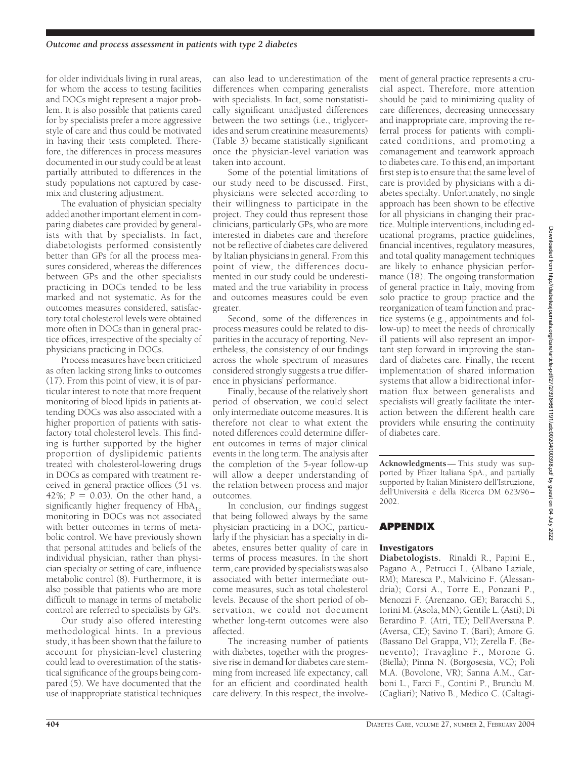for older individuals living in rural areas, for whom the access to testing facilities and DOCs might represent a major problem. It is also possible that patients cared for by specialists prefer a more aggressive style of care and thus could be motivated in having their tests completed. Therefore, the differences in process measures documented in our study could be at least partially attributed to differences in the study populations not captured by casemix and clustering adjustment.

The evaluation of physician specialty added another important element in comparing diabetes care provided by generalists with that by specialists. In fact, diabetologists performed consistently better than GPs for all the process measures considered, whereas the differences between GPs and the other specialists practicing in DOCs tended to be less marked and not systematic. As for the outcomes measures considered, satisfactory total cholesterol levels were obtained more often in DOCs than in general practice offices, irrespective of the specialty of physicians practicing in DOCs.

Process measures have been criticized as often lacking strong links to outcomes (17). From this point of view, it is of particular interest to note that more frequent monitoring of blood lipids in patients attending DOCs was also associated with a higher proportion of patients with satisfactory total cholesterol levels. This finding is further supported by the higher proportion of dyslipidemic patients treated with cholesterol-lowering drugs in DOCs as compared with treatment received in general practice offices (51 vs. 42%;  $P = 0.03$ ). On the other hand, a significantly higher frequency of  $HbA_{1c}$ monitoring in DOCs was not associated with better outcomes in terms of metabolic control. We have previously shown that personal attitudes and beliefs of the individual physician, rather than physician specialty or setting of care, influence metabolic control (8). Furthermore, it is also possible that patients who are more difficult to manage in terms of metabolic control are referred to specialists by GPs.

Our study also offered interesting methodological hints. In a previous study, it has been shown that the failure to account for physician-level clustering could lead to overestimation of the statistical significance of the groups being compared (5). We have documented that the use of inappropriate statistical techniques

can also lead to underestimation of the differences when comparing generalists with specialists. In fact, some nonstatistically significant unadjusted differences between the two settings (i.e., triglycerides and serum creatinine measurements) (Table 3) became statistically significant once the physician-level variation was taken into account.

Some of the potential limitations of our study need to be discussed. First, physicians were selected according to their willingness to participate in the project. They could thus represent those clinicians, particularly GPs, who are more interested in diabetes care and therefore not be reflective of diabetes care delivered by Italian physicians in general. From this point of view, the differences documented in our study could be underestimated and the true variability in process and outcomes measures could be even greater.

Second, some of the differences in process measures could be related to disparities in the accuracy of reporting. Nevertheless, the consistency of our findings across the whole spectrum of measures considered strongly suggests a true difference in physicians' performance.

Finally, because of the relatively short period of observation, we could select only intermediate outcome measures. It is therefore not clear to what extent the noted differences could determine different outcomes in terms of major clinical events in the long term. The analysis after the completion of the 5-year follow-up will allow a deeper understanding of the relation between process and major outcomes.

In conclusion, our findings suggest that being followed always by the same physician practicing in a DOC, particularly if the physician has a specialty in diabetes, ensures better quality of care in terms of process measures. In the short term, care provided by specialists was also associated with better intermediate outcome measures, such as total cholesterol levels. Because of the short period of observation, we could not document whether long-term outcomes were also affected.

The increasing number of patients with diabetes, together with the progressive rise in demand for diabetes care stemming from increased life expectancy, call for an efficient and coordinated health care delivery. In this respect, the involvement of general practice represents a crucial aspect. Therefore, more attention should be paid to minimizing quality of care differences, decreasing unnecessary and inappropriate care, improving the referral process for patients with complicated conditions, and promoting a comanagement and teamwork approach to diabetes care. To this end, an important first step is to ensure that the same level of care is provided by physicians with a diabetes specialty. Unfortunately, no single approach has been shown to be effective for all physicians in changing their practice. Multiple interventions, including educational programs, practice guidelines, financial incentives, regulatory measures, and total quality management techniques are likely to enhance physician performance (18). The ongoing transformation of general practice in Italy, moving from solo practice to group practice and the reorganization of team function and practice systems (e.g., appointments and follow-up) to meet the needs of chronically ill patients will also represent an important step forward in improving the standard of diabetes care. Finally, the recent implementation of shared information systems that allow a bidirectional information flux between generalists and specialists will greatly facilitate the interaction between the different health care providers while ensuring the continuity of diabetes care.

**Acknowledgments**— This study was supported by Pfizer Italiana SpA., and partially supported by Italian Ministero dell'Istruzione, dell'Universita` e della Ricerca DM 623/96– 2002.

## **APPENDIX**

## Investigators

**Diabetologists.** Rinaldi R., Papini E., Pagano A., Petrucci L. (Albano Laziale, RM); Maresca P., Malvicino F. (Alessandria); Corsi A., Torre E., Ponzani P., Menozzi F. (Arenzano, GE); Baracchi S., Iorini M. (Asola, MN); Gentile L. (Asti); Di Berardino P. (Atri, TE); Dell'Aversana P. (Aversa, CE); Savino T. (Bari); Amore G. (Bassano Del Grappa, VI); Zerella F. (Benevento); Travaglino F., Morone G. (Biella); Pinna N. (Borgosesia, VC); Poli M.A. (Bovolone, VR); Sanna A.M., Carboni L., Farci F., Contini P., Brundu M. (Cagliari); Nativo B., Medico C. (Caltagi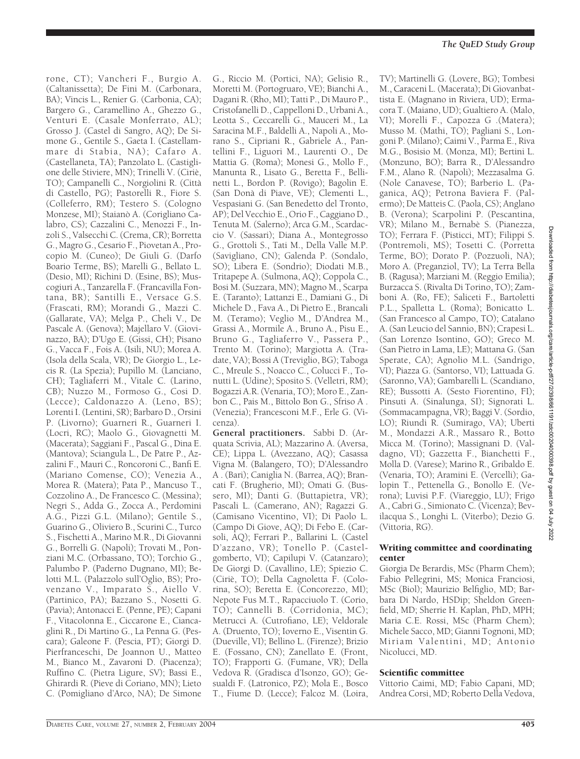(Caltanissetta); De Fini M. (Carbonara, BA); Vincis L., Renier G. (Carbonia, CA); Bargero G., Caramellino A., Ghezzo G., Venturi E. (Casale Monferrato, AL); Grosso J. (Castel di Sangro, AQ); De Simone G., Gentile S., Gaeta I. (Castellammare di Stabia, NA); Cafaro A. (Castellaneta, TA); Panzolato L. (Castiglione delle Stiviere, MN); Trinelli V. (Cirie`, TO); Campanelli C., Norgiolini R. (Citta` di Castello, PG); Pastorelli R., Fiore S. (Colleferro, RM); Testero S. (Cologno Monzese, MI); Staianò A. (Corigliano Calabro, CS); Cazzalini C., Menozzi F., Inzoli S., Valsecchi C. (Crema, CR); Borretta G., Magro G., Cesario F., Piovetan A., Procopio M. (Cuneo); De Giuli G. (Darfo Boario Terme, BS); Marelli G., Bellato L. (Desio, MI); Richini D. (Esine, BS); Muscogiuri A., Tanzarella F. (Francavilla Fontana, BR); Santilli E., Versace G.S. (Frascati, RM); Morandi G., Mazzi C. (Gallarate, VA); Melga P., Cheli V., De Pascale A. (Genova); Majellaro V. (Giovinazzo, BA); D'Ugo E. (Gissi, CH); Pisano G., Vacca F., Fois A. (Isili, NU); Morea A. (Isola della Scala, VR); De Giorgio L., Lecis R. (La Spezia); Pupillo M. (Lanciano, CH); Tagliaferri M., Vitale C. (Larino, CB); Nuzzo M., Formoso G., Cosi D. (Lecce); Caldonazzo A. (Leno, BS); Lorenti I. (Lentini, SR); Barbaro D., Orsini P. (Livorno); Guarneri R., Guarneri I. (Locri, RC); Maolo G., Giovagnetti M. (Macerata); Saggiani F., Pascal G., Dina E. (Mantova); Sciangula L., De Patre P., Azzalini F., Mauri C., Roncoroni C., Banfi E. (Mariano Comense, CO); Venezia A., Morea R. (Matera); Pata P., Mancuso T., Cozzolino A., De Francesco C. (Messina); Negri S., Adda G., Zocca A., Perdomini A.G., Pizzi G.L. (Milano); Gentile S., Guarino G., Oliviero B., Scurini C., Turco S., Fischetti A., Marino M.R., Di Giovanni G., Borrelli G. (Napoli); Trovati M., Ponziani M.C. (Orbassano, TO); Torchio G., Palumbo P. (Paderno Dugnano, MI); Belotti M.L. (Palazzolo sull'Oglio, BS); Provenzano V., Imparato S., Aiello V. (Partinico, PA); Bazzano S., Nosetti G. (Pavia); Antonacci E. (Penne, PE); Capani F., Vitacolonna E., Ciccarone E., Ciancaglini R., Di Martino G., La Penna G. (Pescara); Galeone F. (Pescia, PT); Giorgi D. Pierfranceschi, De Joannon U., Matteo M., Bianco M., Zavaroni D. (Piacenza); Ruffino C. (Pietra Ligure, SV); Bassi E., Ghirardi R. (Pieve di Coriano, MN); Lieto C. (Pomigliano d'Arco, NA); De Simone

rone, CT); Vancheri F., Burgio A.

G., Riccio M. (Portici, NA); Gelisio R., Moretti M. (Portogruaro, VE); Bianchi A., Dagani R. (Rho, MI); Tatti P., Di Mauro P., Cristofanelli D., Cappelloni D., Urbani A., Leotta S., Ceccarelli G., Mauceri M., La Saracina M.F., Baldelli A., Napoli A., Morano S., Cipriani R., Gabriele A., Pantellini F., Liguori M., Laurenti O., De Mattia G. (Roma); Monesi G., Mollo F., Manunta R., Lisato G., Beretta F., Bellinetti L., Bordon P. (Rovigo); Bagolin E. (San Dona` di Piave, VE); Clementi L., Vespasiani G. (San Benedetto del Tronto, AP); Del Vecchio E., Orio F., Caggiano D., Tenuta M. (Salerno); Arca G.M., Scardaccio V. (Sassari); Diana A., Montegrosso G., Grottoli S., Tati M., Della Valle M.P. (Savigliano, CN); Galenda P. (Sondalo, SO); Libera E. (Sondrio); Diodati M.B., Tritapepe A. (Sulmona, AQ); Coppola C., Bosi M. (Suzzara, MN); Magno M., Scarpa E. (Taranto); Lattanzi E., Damiani G., Di Michele D., Fava A., Di Pietro E., Brancali M. (Teramo); Veglio M., D'Andrea M., Grassi A., Mormile A., Bruno A., Pisu E., Bruno G., Tagliaferro V., Passera P., Trento M. (Torino); Margiotta A. (Tradate, VA); Bossi A (Treviglio, BG); Taboga C., Mreule S., Noacco C., Colucci F., Tonutti L. (Udine); Sposito S. (Velletri, RM); Bogazzi A.R. (Venaria, TO); Moro E., Zanbon C., Pais M., Bittolo Bon G., Sfriso A . (Venezia); Francesconi M.F., Erle G. (Vicenza). **General practitioners.** Sabbi D. (Ar-

quata Scrivia, AL); Mazzarino A. (Aversa, CE); Lippa L. (Avezzano, AQ); Casassa Vigna M. (Balangero, TO); D'Alessandro A . (Bari); Caniglia N. (Barrea, AQ); Brancati F. (Brugherio, MI); Omati G. (Bussero, MI); Danti G. (Buttapietra, VR); Pascali L. (Camerano, AN); Ragazzi G. (Camisano Vicentino, VI); Di Paolo L. (Campo Di Giove, AQ); Di Febo E. (Carsoli, AQ); Ferrari P., Ballarini L. (Castel D'azzano, VR); Tonello P. (Castelgomberto, VI); Capilupi V. (Catanzaro); De Giorgi D. (Cavallino, LE); Spiezio C. (Ciriè, TO); Della Cagnoletta F. (Colorina, SO); Beretta E. (Concorezzo, MI); Nepote Fus M.T., Rapacciuolo T. (Corio, TO); Cannelli B. (Corridonia, MC); Metrucci A. (Cutrofiano, LE); Veldorale A. (Druento, TO); Ioverno E., Visentin G. (Dueville, VI); Bellino L. (Firenze); Brizio E. (Fossano, CN); Zanellato E. (Front, TO); Frapporti G. (Fumane, VR); Della Vedova R. (Gradisca d'Isonzo, GO); Gesualdi F. (Latronico, PZ); Mola E., Bosco T., Fiume D. (Lecce); Falcoz M. (Loira,

TV); Martinelli G. (Lovere, BG); Tombesi M., Caraceni L. (Macerata); Di Giovanbattista E. (Magnano in Riviera, UD); Ermacora T. (Maiano, UD); Gualtiero A. (Malo, VI); Morelli F., Capozza G .(Matera); Musso M. (Mathi, TO); Pagliani S., Longoni P. (Milano); Caimi V., Parma E., Riva M.G., Bosisio M. (Monza, MI); Bertini L. (Monzuno, BO); Barra R., D'Alessandro F.M., Alano R. (Napoli); Mezzasalma G. (Nole Canavese, TO); Barberio L. (Paganica, AQ); Petrona Baviera F. (Palermo); De Matteis C. (Paola, CS); Anglano B. (Verona); Scarpolini P. (Pescantina, VR); Milano M., Bernabè S. (Pianezza, TO); Ferrara F. (Pisticci, MT); Filippi S. (Pontremoli, MS); Tosetti C. (Porretta Terme, BO); Dorato P. (Pozzuoli, NA); Moro A. (Preganziol, TV); La Terra Bella B. (Ragusa); Marziani M. (Reggio Emilia); Burzacca S. (Rivalta Di Torino, TO); Zamboni A. (Ro, FE); Saliceti F., Bartoletti P.L., Spalletta L. (Roma); Bonicatto L. (San Francesco al Campo, TO); Catalano A. (San Leucio del Sannio, BN); Crapesi L. (San Lorenzo Isontino, GO); Greco M. (San Pietro in Lama, LE); Mattana G. (San Sperate, CA); Agnolio M.L. (Sandrigo, VI); Piazza G. (Santorso, VI); Lattuada G. (Saronno, VA); Gambarelli L. (Scandiano, RE); Bussotti A. (Sesto Fiorentino, FI); Pinsuti A. (Sinalunga, SI); Signorati L. (Sommacampagna, VR); Baggi V. (Sordio, LO); Riundi R. (Sumirago, VA); Uberti M., Mondazzi A.R., Massaro R., Botto Micca M. (Torino); Massignani D. (Valdagno, VI); Gazzetta F., Bianchetti F., Molla D. (Varese); Marino R., Gribaldo E. (Venaria, TO); Aramini E. (Vercelli); Galopin T., Pettenella G., Bonollo E. (Verona); Luvisi P.F. (Viareggio, LU); Frigo A., Cabri G., Simionato C. (Vicenza); Bevilacqua S., Longhi L. (Viterbo); Dezio G. (Vittoria, RG).

#### Writing committee and coordinating center

Giorgia De Berardis, MSc (Pharm Chem); Fabio Pellegrini, MS; Monica Franciosi, MSc (Biol); Maurizio Belfiglio, MD; Barbara Di Nardo, HSDip; Sheldon Greenfield, MD; Sherrie H. Kaplan, PhD, MPH; Maria C.E. Rossi, MSc (Pharm Chem); Michele Sacco, MD; Gianni Tognoni, MD; Miriam Valentini, MD; Antonio Nicolucci, MD.

## Scientific committee

Vittorio Caimi, MD; Fabio Capani, MD; Andrea Corsi, MD; Roberto Della Vedova,